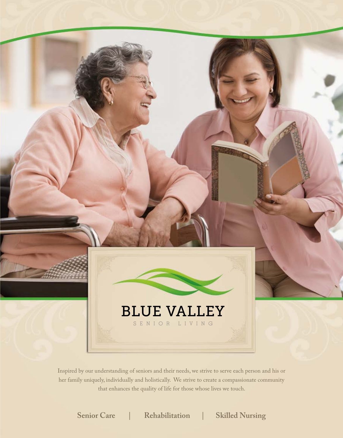

Inspired by our understanding of seniors and their needs, we strive to serve each person and his or her family uniquely, individually and holistically. We strive to create a compassionate community that enhances the quality of life for those whose lives we touch.

**Senior Care | Rehabilitation | Skilled Nursing**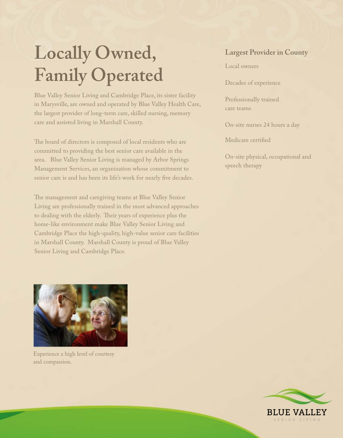### **Locally Owned, Family Operated**

Blue Valley Senior Living and Cambridge Place, its sister facility in Marysville, are owned and operated by Blue Valley Health Care, the largest provider of long-term care, skilled nursing, memory care and assisted living in Marshall County.

The board of directors is composed of local residents who are committed to providing the best senior care available in the area. Blue Valley Senior Living is managed by Arbor Springs Management Services, an organization whose commitment to senior care is and has been its life's work for nearly five decades.

The management and caregiving teams at Blue Valley Senior Living are professionally trained in the most advanced approaches to dealing with the elderly. Their years of experience plus the home-like environment make Blue Valley Senior Living and Cambridge Place the high-quality, high-value senior care facilities in Marshall County. Marshall County is proud of Blue Valley Senior Living and Cambridge Place.

#### **Largest Provider in County**

Local owners

Decades of experience

Professionally trained care teams

On-site nurses 24 hours a day

Medicare certified

On-site physical, occupational and speech therapy



Experience a high level of courtesy and compassion.

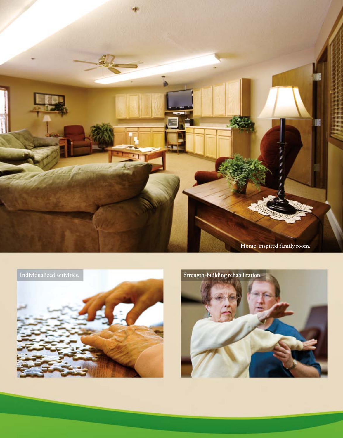



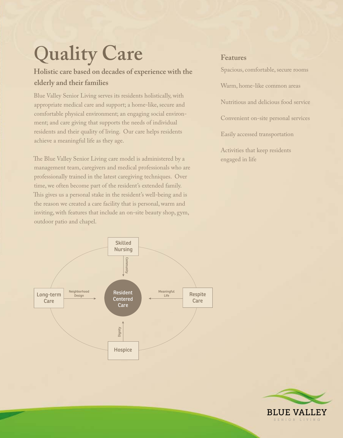# Q**uality Care**

**Holistic care based on decades of experience with the elderly and their families**

Blue Valley Senior Living serves its residents holistically, with appropriate medical care and support; a home-like, secure and comfortable physical environment; an engaging social environment; and care giving that supports the needs of individual residents and their quality of living. Our care helps residents achieve a meaningful life as they age.

The Blue Valley Senior Living care model is administered by a management team, caregivers and medical professionals who are professionally trained in the latest caregiving techniques. Over time, we often become part of the resident's extended family. This gives us a personal stake in the resident's well-being and is the reason we created a care facility that is personal, warm and inviting, with features that include an on-site beauty shop, gym, outdoor patio and chapel.



#### **Features**

Spacious, comfortable, secure rooms Warm, home-like common areas Nutritious and delicious food service Convenient on-site personal services Easily accessed transportation Activities that keep residents engaged in life

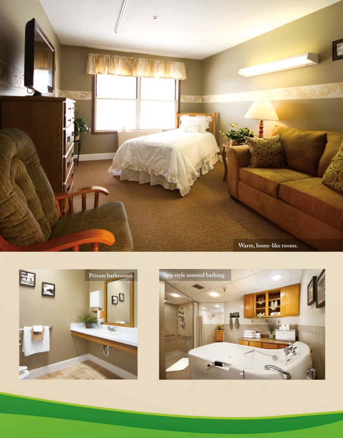



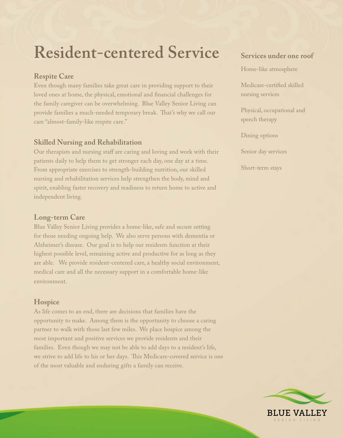### **Resident-centered Service**

#### **Respite Care**

Even though many families take great care in providing support to their loved ones at home, the physical, emotional and financial challenges for the family caregiver can be overwhelming. Blue Valley Senior Living can provide families a much-needed temporary break. That's why we call our care "almost-family-like respite care."

#### **Skilled Nursing and Rehabilitation**

Our therapists and nursing staff are caring and loving and work with their patients daily to help them to get stronger each day, one day at a time. From appropriate exercises to strength-building nutrition, our skilled nursing and rehabilitation services help strengthen the body, mind and spirit, enabling faster recovery and readiness to return home to active and independent living.

#### **Long-term Care**

Blue Valley Senior Living provides a home-like, safe and secure setting for those needing ongoing help. We also serve persons with dementia or Alzheimer's disease. Our goal is to help our residents function at their highest possible level, remaining active and productive for as long as they are able. We provide resident-centered care, a healthy social environment, medical care and all the necessary support in a comfortable home-like environment.

#### **Hospice**

As life comes to an end, there are decisions that families have the opportunity to make. Among them is the opportunity to choose a caring partner to walk with those last few miles. We place hospice among the most important and positive services we provide residents and their families. Even though we may not be able to add days to a resident's life, we strive to add life to his or her days. This Medicare-covered service is one of the most valuable and enduring gifts a family can receive.

#### **Services under one roof**

Home-like atmosphere

Medicare-certified skilled nursing services

Physical, occupational and speech therapy

Dining options

Senior day services

Short-term stays

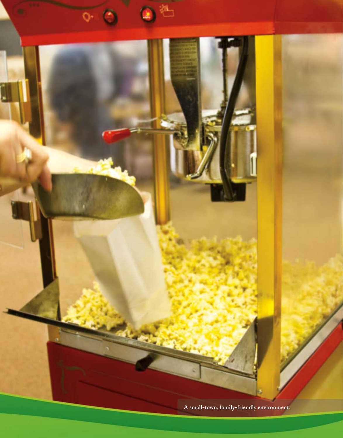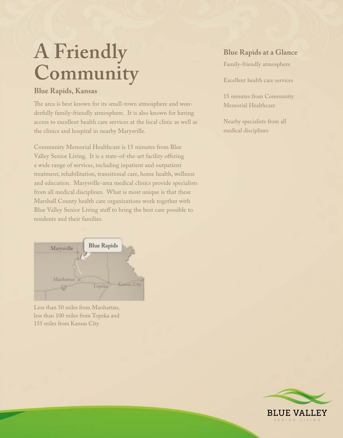## **A Friendly Community**

#### **Blue Rapids, Kansas**

The area is best known for its small-town atmosphere and wonderfully family-friendly atmosphere. It is also known for having access to excellent health care services at the local clinic as well as the clinics and hospital in nearby Marysville.

Community Memorial Healthcare is 15 minutes from Blue Valley Senior Living. It is a state-of-the-art facility offering a wide range of services, including inpatient and outpatient treatment, rehabilitation, transitional care, home health, wellness and education. Marysville-area medical clinics provide specialists from all medical disciplines. What is most unique is that these Marshall County health care organizations work together with Blue Valley Senior Living staff to bring the best care possible to residents and their families.



Less than 50 miles from Manhattan, less than 100 miles from Topeka and 155 miles from Kansas City

#### **Blue Rapids at a Glance**

Family-friendly atmosphere

Excellent health care services

15 minutes from Community Memorial Healthcare

Nearby specialists from all medical disciplines

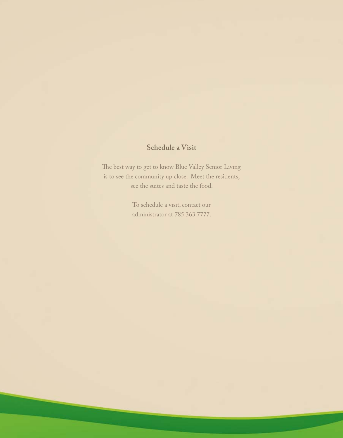#### **Schedule a Visit**

The best way to get to know Blue Valley Senior Living is to see the community up close. Meet the residents, see the suites and taste the food.

> To schedule a visit, contact our administrator at 785.363.7777.